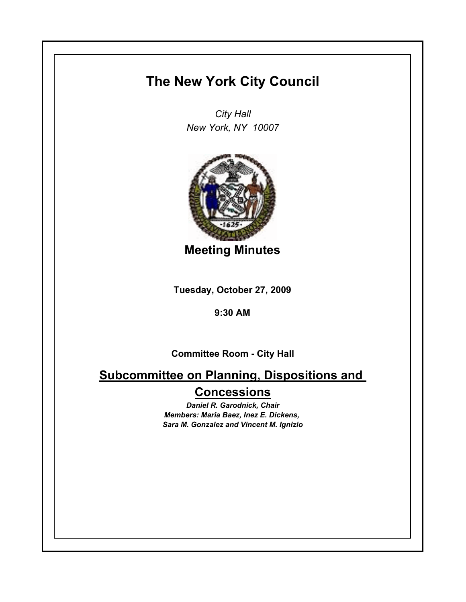## **The New York City Council**

*City Hall New York, NY 10007*



**Meeting Minutes**

**Tuesday, October 27, 2009**

**9:30 AM**

**Committee Room - City Hall**

**Subcommittee on Planning, Dispositions and Concessions**

> *Daniel R. Garodnick, Chair Members: Maria Baez, Inez E. Dickens, Sara M. Gonzalez and Vincent M. Ignizio*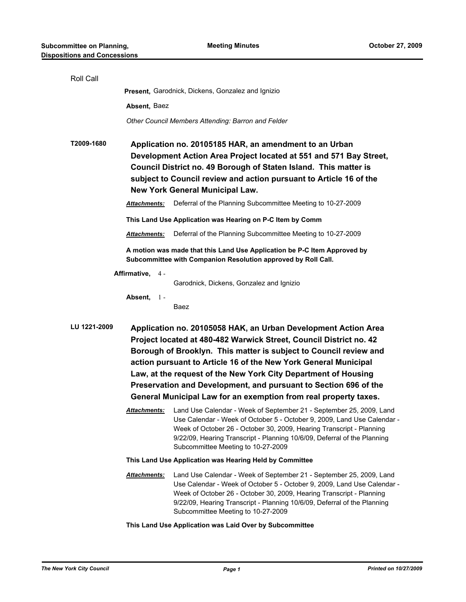| Roll Call       |                                                                                                                                                                                                                                                                                                                                                                                                                                                                                        |                                                                                                                                                                                                                                                                                                                                                       |  |  |
|-----------------|----------------------------------------------------------------------------------------------------------------------------------------------------------------------------------------------------------------------------------------------------------------------------------------------------------------------------------------------------------------------------------------------------------------------------------------------------------------------------------------|-------------------------------------------------------------------------------------------------------------------------------------------------------------------------------------------------------------------------------------------------------------------------------------------------------------------------------------------------------|--|--|
|                 | Present, Garodnick, Dickens, Gonzalez and Ignizio                                                                                                                                                                                                                                                                                                                                                                                                                                      |                                                                                                                                                                                                                                                                                                                                                       |  |  |
|                 | Absent, Baez                                                                                                                                                                                                                                                                                                                                                                                                                                                                           |                                                                                                                                                                                                                                                                                                                                                       |  |  |
|                 | Other Council Members Attending: Barron and Felder                                                                                                                                                                                                                                                                                                                                                                                                                                     |                                                                                                                                                                                                                                                                                                                                                       |  |  |
| T2009-1680      | Application no. 20105185 HAR, an amendment to an Urban<br>Development Action Area Project located at 551 and 571 Bay Street,<br>Council District no. 49 Borough of Staten Island. This matter is<br>subject to Council review and action pursuant to Article 16 of the<br><b>New York General Municipal Law.</b>                                                                                                                                                                       |                                                                                                                                                                                                                                                                                                                                                       |  |  |
|                 | Attachments:                                                                                                                                                                                                                                                                                                                                                                                                                                                                           | Deferral of the Planning Subcommittee Meeting to 10-27-2009                                                                                                                                                                                                                                                                                           |  |  |
|                 |                                                                                                                                                                                                                                                                                                                                                                                                                                                                                        | This Land Use Application was Hearing on P-C Item by Comm                                                                                                                                                                                                                                                                                             |  |  |
|                 | <b>Attachments:</b>                                                                                                                                                                                                                                                                                                                                                                                                                                                                    | Deferral of the Planning Subcommittee Meeting to 10-27-2009                                                                                                                                                                                                                                                                                           |  |  |
|                 |                                                                                                                                                                                                                                                                                                                                                                                                                                                                                        | A motion was made that this Land Use Application be P-C Item Approved by<br>Subcommittee with Companion Resolution approved by Roll Call.                                                                                                                                                                                                             |  |  |
| Affirmative, 4- |                                                                                                                                                                                                                                                                                                                                                                                                                                                                                        |                                                                                                                                                                                                                                                                                                                                                       |  |  |
|                 | Absent, $1 -$                                                                                                                                                                                                                                                                                                                                                                                                                                                                          | Garodnick, Dickens, Gonzalez and Ignizio<br>Baez                                                                                                                                                                                                                                                                                                      |  |  |
| LU 1221-2009    | Application no. 20105058 HAK, an Urban Development Action Area<br>Project located at 480-482 Warwick Street, Council District no. 42<br>Borough of Brooklyn. This matter is subject to Council review and<br>action pursuant to Article 16 of the New York General Municipal<br>Law, at the request of the New York City Department of Housing<br>Preservation and Development, and pursuant to Section 696 of the<br>General Municipal Law for an exemption from real property taxes. |                                                                                                                                                                                                                                                                                                                                                       |  |  |
|                 |                                                                                                                                                                                                                                                                                                                                                                                                                                                                                        | Attachments: Land Use Calendar - Week of September 21 - September 25, 2009, Land<br>Use Calendar - Week of October 5 - October 9, 2009, Land Use Calendar -<br>Week of October 26 - October 30, 2009, Hearing Transcript - Planning<br>9/22/09, Hearing Transcript - Planning 10/6/09, Deferral of the Planning<br>Subcommittee Meeting to 10-27-2009 |  |  |
|                 | This Land Use Application was Hearing Held by Committee                                                                                                                                                                                                                                                                                                                                                                                                                                |                                                                                                                                                                                                                                                                                                                                                       |  |  |
|                 | Attachments:                                                                                                                                                                                                                                                                                                                                                                                                                                                                           | Land Use Calendar - Week of September 21 - September 25, 2009, Land<br>Use Calendar - Week of October 5 - October 9, 2009, Land Use Calendar -<br>Week of October 26 - October 30, 2009, Hearing Transcript - Planning<br>9/22/09, Hearing Transcript - Planning 10/6/09, Deferral of the Planning<br>Subcommittee Meeting to 10-27-2009              |  |  |

**This Land Use Application was Laid Over by Subcommittee**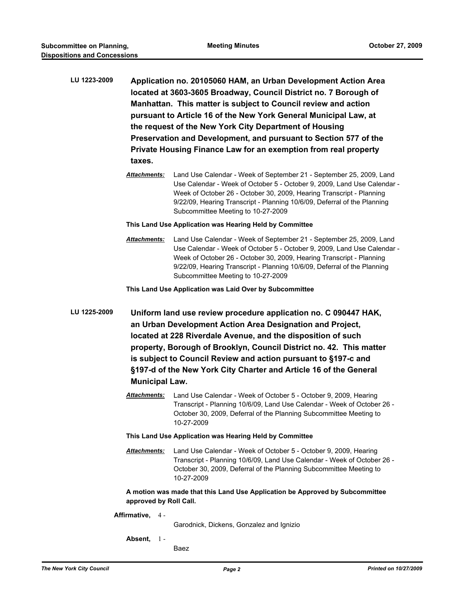- **LU 1223-2009 Application no. 20105060 HAM, an Urban Development Action Area located at 3603-3605 Broadway, Council District no. 7 Borough of Manhattan. This matter is subject to Council review and action pursuant to Article 16 of the New York General Municipal Law, at the request of the New York City Department of Housing Preservation and Development, and pursuant to Section 577 of the Private Housing Finance Law for an exemption from real property taxes.**
	- *Attachments:* Land Use Calendar Week of September 21 September 25, 2009, Land Use Calendar - Week of October 5 - October 9, 2009, Land Use Calendar - Week of October 26 - October 30, 2009, Hearing Transcript - Planning 9/22/09, Hearing Transcript - Planning 10/6/09, Deferral of the Planning Subcommittee Meeting to 10-27-2009
	- **This Land Use Application was Hearing Held by Committee**
	- *Attachments:* Land Use Calendar Week of September 21 September 25, 2009, Land Use Calendar - Week of October 5 - October 9, 2009, Land Use Calendar - Week of October 26 - October 30, 2009, Hearing Transcript - Planning 9/22/09, Hearing Transcript - Planning 10/6/09, Deferral of the Planning Subcommittee Meeting to 10-27-2009

**This Land Use Application was Laid Over by Subcommittee**

- **LU 1225-2009 Uniform land use review procedure application no. C 090447 HAK, an Urban Development Action Area Designation and Project, located at 228 Riverdale Avenue, and the disposition of such property, Borough of Brooklyn, Council District no. 42. This matter is subject to Council Review and action pursuant to §197-c and §197-d of the New York City Charter and Article 16 of the General Municipal Law.**
	- *Attachments:* Land Use Calendar Week of October 5 October 9, 2009, Hearing Transcript - Planning 10/6/09, Land Use Calendar - Week of October 26 - October 30, 2009, Deferral of the Planning Subcommittee Meeting to 10-27-2009

## **This Land Use Application was Hearing Held by Committee**

*Attachments:* Land Use Calendar - Week of October 5 - October 9, 2009, Hearing Transcript - Planning 10/6/09, Land Use Calendar - Week of October 26 - October 30, 2009, Deferral of the Planning Subcommittee Meeting to 10-27-2009

**A motion was made that this Land Use Application be Approved by Subcommittee approved by Roll Call.**

**Affirmative,** 4 -

Garodnick, Dickens, Gonzalez and Ignizio

- **Absent,** 1
	- Baez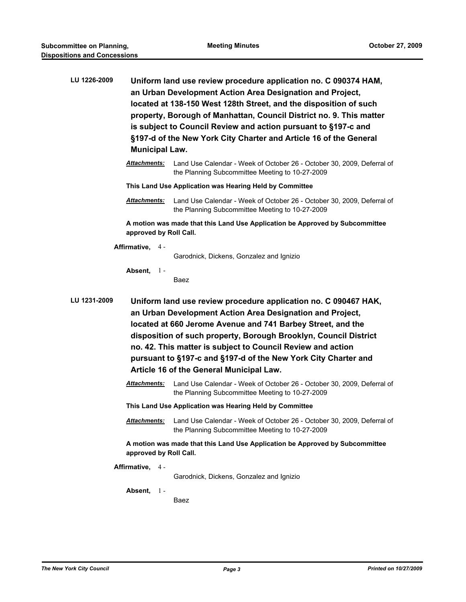| LU 1226-2009                                                                                           | Uniform land use review procedure application no. C 090374 HAM,<br>an Urban Development Action Area Designation and Project,<br>located at 138-150 West 128th Street, and the disposition of such<br>property, Borough of Manhattan, Council District no. 9. This matter<br>is subject to Council Review and action pursuant to §197-c and<br>§197-d of the New York City Charter and Article 16 of the General<br><b>Municipal Law.</b>     |                                                                                                                           |  |  |  |
|--------------------------------------------------------------------------------------------------------|----------------------------------------------------------------------------------------------------------------------------------------------------------------------------------------------------------------------------------------------------------------------------------------------------------------------------------------------------------------------------------------------------------------------------------------------|---------------------------------------------------------------------------------------------------------------------------|--|--|--|
|                                                                                                        | Attachments:                                                                                                                                                                                                                                                                                                                                                                                                                                 | Land Use Calendar - Week of October 26 - October 30, 2009, Deferral of<br>the Planning Subcommittee Meeting to 10-27-2009 |  |  |  |
|                                                                                                        | This Land Use Application was Hearing Held by Committee                                                                                                                                                                                                                                                                                                                                                                                      |                                                                                                                           |  |  |  |
|                                                                                                        | <u> Attachments:</u>                                                                                                                                                                                                                                                                                                                                                                                                                         | Land Use Calendar - Week of October 26 - October 30, 2009, Deferral of<br>the Planning Subcommittee Meeting to 10-27-2009 |  |  |  |
|                                                                                                        |                                                                                                                                                                                                                                                                                                                                                                                                                                              | A motion was made that this Land Use Application be Approved by Subcommittee<br>approved by Roll Call.                    |  |  |  |
|                                                                                                        | Affirmative, 4 -                                                                                                                                                                                                                                                                                                                                                                                                                             |                                                                                                                           |  |  |  |
|                                                                                                        |                                                                                                                                                                                                                                                                                                                                                                                                                                              | Garodnick, Dickens, Gonzalez and Ignizio                                                                                  |  |  |  |
|                                                                                                        | Absent, $1 -$                                                                                                                                                                                                                                                                                                                                                                                                                                | Baez                                                                                                                      |  |  |  |
| LU 1231-2009                                                                                           | Uniform land use review procedure application no. C 090467 HAK,<br>an Urban Development Action Area Designation and Project,<br>located at 660 Jerome Avenue and 741 Barbey Street, and the<br>disposition of such property, Borough Brooklyn, Council District<br>no. 42. This matter is subject to Council Review and action<br>pursuant to §197-c and §197-d of the New York City Charter and<br>Article 16 of the General Municipal Law. |                                                                                                                           |  |  |  |
|                                                                                                        | <u> Attachments:</u>                                                                                                                                                                                                                                                                                                                                                                                                                         | Land Use Calendar - Week of October 26 - October 30, 2009, Deferral of<br>the Planning Subcommittee Meeting to 10-27-2009 |  |  |  |
| This Land Use Application was Hearing Held by Committee                                                |                                                                                                                                                                                                                                                                                                                                                                                                                                              |                                                                                                                           |  |  |  |
|                                                                                                        | Attachments:                                                                                                                                                                                                                                                                                                                                                                                                                                 | Land Use Calendar - Week of October 26 - October 30, 2009, Deferral of<br>the Planning Subcommittee Meeting to 10-27-2009 |  |  |  |
| A motion was made that this Land Use Application be Approved by Subcommittee<br>approved by Roll Call. |                                                                                                                                                                                                                                                                                                                                                                                                                                              |                                                                                                                           |  |  |  |
|                                                                                                        | Affirmative, 4 -                                                                                                                                                                                                                                                                                                                                                                                                                             | Garodnick, Dickens, Gonzalez and Ignizio                                                                                  |  |  |  |
|                                                                                                        | Absent, 1-                                                                                                                                                                                                                                                                                                                                                                                                                                   | Baez                                                                                                                      |  |  |  |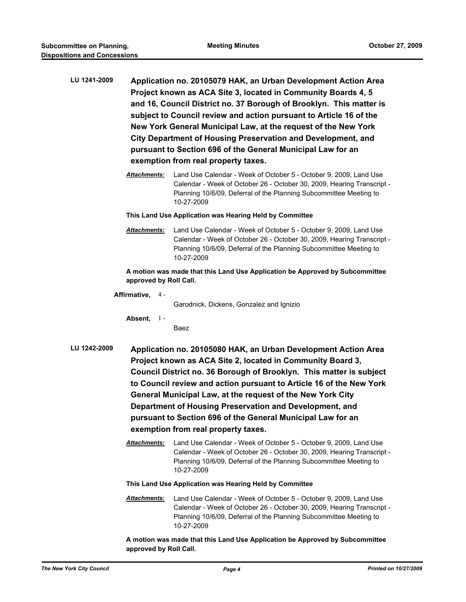- **LU 1241-2009 Application no. 20105079 HAK, an Urban Development Action Area Project known as ACA Site 3, located in Community Boards 4, 5 and 16, Council District no. 37 Borough of Brooklyn. This matter is subject to Council review and action pursuant to Article 16 of the New York General Municipal Law, at the request of the New York City Department of Housing Preservation and Development, and pursuant to Section 696 of the General Municipal Law for an exemption from real property taxes.**
	- *Attachments:* Land Use Calendar Week of October 5 October 9, 2009, Land Use Calendar - Week of October 26 - October 30, 2009, Hearing Transcript - Planning 10/6/09, Deferral of the Planning Subcommittee Meeting to 10-27-2009

## **This Land Use Application was Hearing Held by Committee**

*Attachments:* Land Use Calendar - Week of October 5 - October 9, 2009, Land Use Calendar - Week of October 26 - October 30, 2009, Hearing Transcript - Planning 10/6/09, Deferral of the Planning Subcommittee Meeting to 10-27-2009

**A motion was made that this Land Use Application be Approved by Subcommittee approved by Roll Call.**

**Affirmative,** 4 -

Garodnick, Dickens, Gonzalez and Ignizio

**Absent,** 1 -

Baez

- **LU 1242-2009 Application no. 20105080 HAK, an Urban Development Action Area Project known as ACA Site 2, located in Community Board 3, Council District no. 36 Borough of Brooklyn. This matter is subject to Council review and action pursuant to Article 16 of the New York General Municipal Law, at the request of the New York City Department of Housing Preservation and Development, and pursuant to Section 696 of the General Municipal Law for an exemption from real property taxes.**
	- *Attachments:* Land Use Calendar Week of October 5 October 9, 2009, Land Use Calendar - Week of October 26 - October 30, 2009, Hearing Transcript - Planning 10/6/09, Deferral of the Planning Subcommittee Meeting to 10-27-2009

**This Land Use Application was Hearing Held by Committee**

*Attachments:* Land Use Calendar - Week of October 5 - October 9, 2009, Land Use Calendar - Week of October 26 - October 30, 2009, Hearing Transcript - Planning 10/6/09, Deferral of the Planning Subcommittee Meeting to 10-27-2009

**A motion was made that this Land Use Application be Approved by Subcommittee approved by Roll Call.**